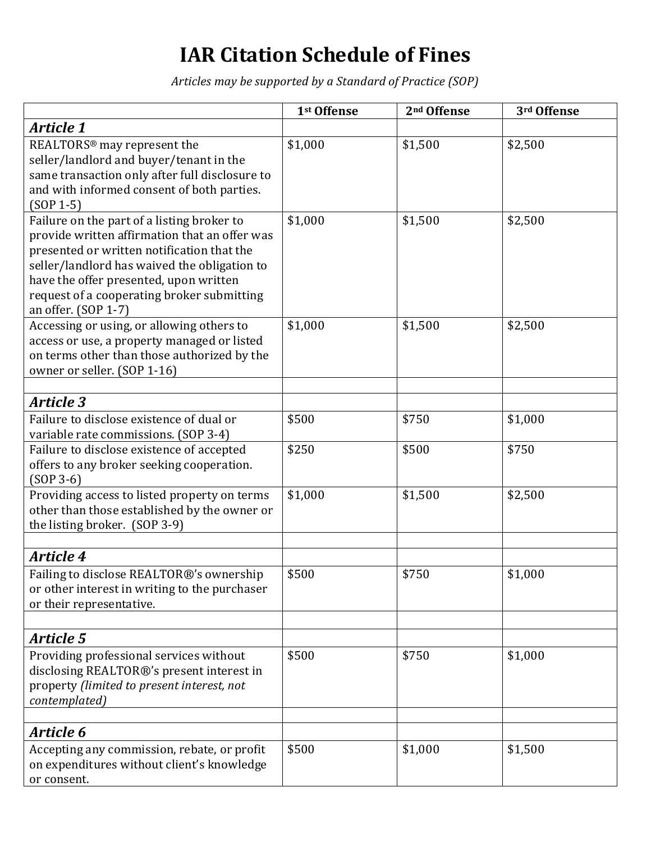## **IAR Citation Schedule of Fines**

*Articles may be supported by a Standard of Practice (SOP)*

|                                                                                                                                                                                                                                                                                                          | 1st Offense | 2 <sup>nd</sup> Offense | 3rd Offense |
|----------------------------------------------------------------------------------------------------------------------------------------------------------------------------------------------------------------------------------------------------------------------------------------------------------|-------------|-------------------------|-------------|
| Article 1                                                                                                                                                                                                                                                                                                |             |                         |             |
| REALTORS <sup>®</sup> may represent the<br>seller/landlord and buyer/tenant in the<br>same transaction only after full disclosure to<br>and with informed consent of both parties.<br>$(SOP 1-5)$                                                                                                        | \$1,000     | \$1,500                 | \$2,500     |
| Failure on the part of a listing broker to<br>provide written affirmation that an offer was<br>presented or written notification that the<br>seller/landlord has waived the obligation to<br>have the offer presented, upon written<br>request of a cooperating broker submitting<br>an offer. (SOP 1-7) | \$1,000     | \$1,500                 | \$2,500     |
| Accessing or using, or allowing others to<br>access or use, a property managed or listed<br>on terms other than those authorized by the<br>owner or seller. (SOP 1-16)                                                                                                                                   | \$1,000     | \$1,500                 | \$2,500     |
|                                                                                                                                                                                                                                                                                                          |             |                         |             |
| <b>Article 3</b>                                                                                                                                                                                                                                                                                         |             |                         |             |
| Failure to disclose existence of dual or<br>variable rate commissions. (SOP 3-4)                                                                                                                                                                                                                         | \$500       | \$750                   | \$1,000     |
| Failure to disclose existence of accepted<br>offers to any broker seeking cooperation.<br>$(SOP 3-6)$                                                                                                                                                                                                    | \$250       | \$500                   | \$750       |
| Providing access to listed property on terms<br>other than those established by the owner or<br>the listing broker. (SOP 3-9)                                                                                                                                                                            | \$1,000     | \$1,500                 | \$2,500     |
| <b>Article 4</b>                                                                                                                                                                                                                                                                                         |             |                         |             |
| Failing to disclose REALTOR®'s ownership<br>or other interest in writing to the purchaser<br>or their representative.                                                                                                                                                                                    | \$500       | \$750                   | \$1,000     |
|                                                                                                                                                                                                                                                                                                          |             |                         |             |
| <b>Article 5</b><br>Providing professional services without<br>disclosing REALTOR®'s present interest in<br>property (limited to present interest, not<br>contemplated)                                                                                                                                  | \$500       | \$750                   | \$1,000     |
| Article 6                                                                                                                                                                                                                                                                                                |             |                         |             |
| Accepting any commission, rebate, or profit<br>on expenditures without client's knowledge<br>or consent.                                                                                                                                                                                                 | \$500       | \$1,000                 | \$1,500     |